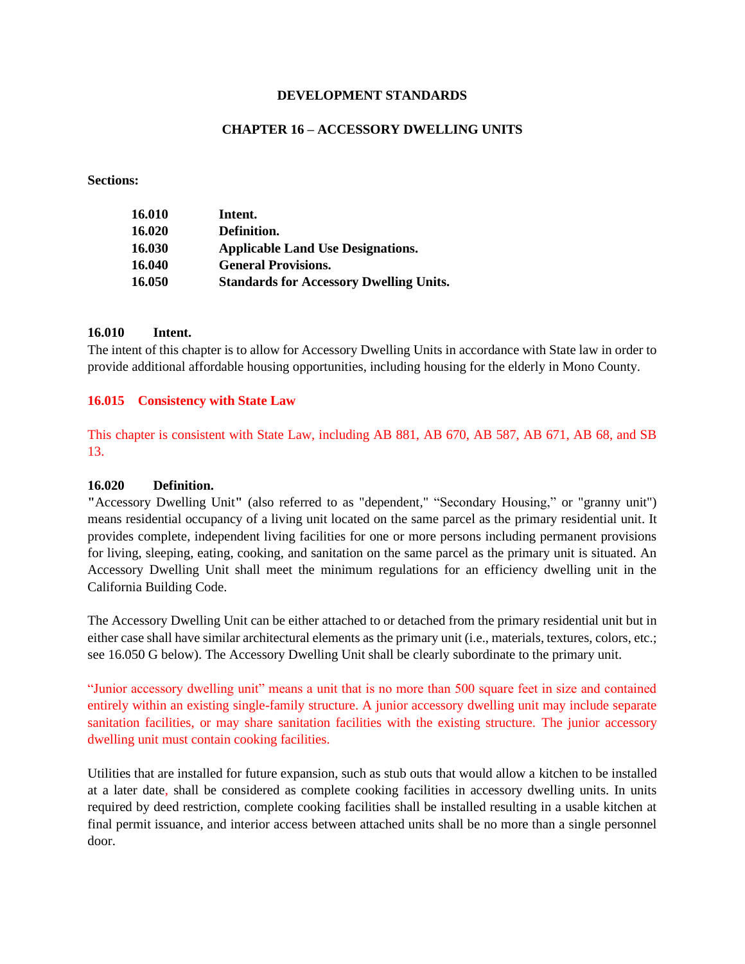### **DEVELOPMENT STANDARDS**

# **CHAPTER 16 – ACCESSORY DWELLING UNITS**

### **Sections:**

| 16.010 | Intent.                                        |
|--------|------------------------------------------------|
| 16.020 | Definition.                                    |
| 16.030 | <b>Applicable Land Use Designations.</b>       |
| 16.040 | <b>General Provisions.</b>                     |
| 16.050 | <b>Standards for Accessory Dwelling Units.</b> |

### **16.010 Intent.**

The intent of this chapter is to allow for Accessory Dwelling Units in accordance with State law in order to provide additional affordable housing opportunities, including housing for the elderly in Mono County.

## **16.015 Consistency with State Law**

This chapter is consistent with State Law, including AB 881, AB 670, AB 587, AB 671, AB 68, and SB 13.

### **16.020 Definition.**

**"**Accessory Dwelling Unit**"** (also referred to as "dependent*,*" "Secondary Housing," or "granny unit") means residential occupancy of a living unit located on the same parcel as the primary residential unit. It provides complete, independent living facilities for one or more persons including permanent provisions for living, sleeping, eating, cooking, and sanitation on the same parcel as the primary unit is situated. An Accessory Dwelling Unit shall meet the minimum regulations for an efficiency dwelling unit in the California Building Code.

The Accessory Dwelling Unit can be either attached to or detached from the primary residential unit but in either case shall have similar architectural elements as the primary unit (i.e., materials, textures, colors, etc.; see 16.050 G below). The Accessory Dwelling Unit shall be clearly subordinate to the primary unit.

"Junior accessory dwelling unit" means a unit that is no more than 500 square feet in size and contained entirely within an existing single-family structure. A junior accessory dwelling unit may include separate sanitation facilities, or may share sanitation facilities with the existing structure. The junior accessory dwelling unit must contain cooking facilities.

Utilities that are installed for future expansion, such as stub outs that would allow a kitchen to be installed at a later date, shall be considered as complete cooking facilities in accessory dwelling units. In units required by deed restriction, complete cooking facilities shall be installed resulting in a usable kitchen at final permit issuance, and interior access between attached units shall be no more than a single personnel door.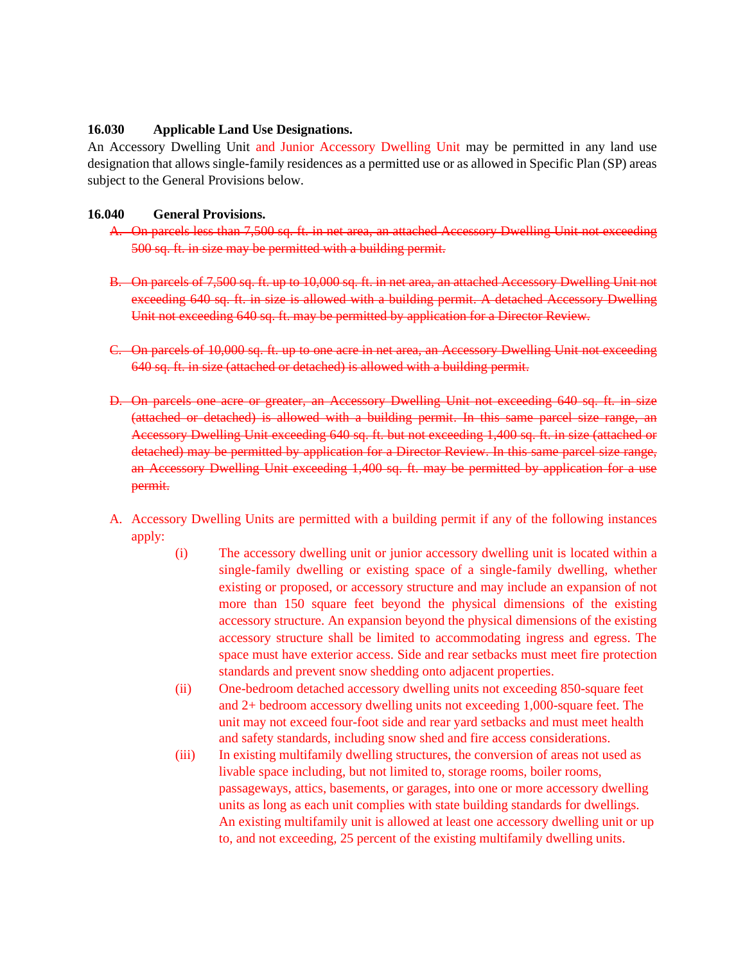# **16.030 Applicable Land Use Designations.**

An Accessory Dwelling Unit and Junior Accessory Dwelling Unit may be permitted in any land use designation that allows single-family residences as a permitted use or as allowed in Specific Plan (SP) areas subject to the General Provisions below.

## **16.040 General Provisions.**

- A. On parcels less than 7,500 sq. ft. in net area, an attached Accessory Dwelling Unit not exceeding 500 sq. ft. in size may be permitted with a building permit.
- B. On parcels of 7,500 sq. ft. up to 10,000 sq. ft. in net area, an attached Accessory Dwelling Unit not exceeding 640 sq. ft. in size is allowed with a building permit. A detached Accessory Dwelling Unit not exceeding 640 sq. ft. may be permitted by application for a Director Review.
- C. On parcels of 10,000 sq. ft. up to one acre in net area, an Accessory Dwelling Unit not exceeding 640 sq. ft. in size (attached or detached) is allowed with a building permit.
- D. On parcels one acre or greater, an Accessory Dwelling Unit not exceeding 640 sq. ft. in size (attached or detached) is allowed with a building permit. In this same parcel size range, an Accessory Dwelling Unit exceeding 640 sq. ft. but not exceeding 1,400 sq. ft. in size (attached or detached) may be permitted by application for a Director Review. In this same parcel size range, an Accessory Dwelling Unit exceeding 1,400 sq. ft. may be permitted by application for a use permit.
- A. Accessory Dwelling Units are permitted with a building permit if any of the following instances apply:
	- (i) The accessory dwelling unit or junior accessory dwelling unit is located within a single-family dwelling or existing space of a single-family dwelling, whether existing or proposed, or accessory structure and may include an expansion of not more than 150 square feet beyond the physical dimensions of the existing accessory structure. An expansion beyond the physical dimensions of the existing accessory structure shall be limited to accommodating ingress and egress. The space must have exterior access. Side and rear setbacks must meet fire protection standards and prevent snow shedding onto adjacent properties.
	- (ii) One-bedroom detached accessory dwelling units not exceeding 850-square feet and 2+ bedroom accessory dwelling units not exceeding 1,000-square feet. The unit may not exceed four-foot side and rear yard setbacks and must meet health and safety standards, including snow shed and fire access considerations.
	- (iii) In existing multifamily dwelling structures, the conversion of areas not used as livable space including, but not limited to, storage rooms, boiler rooms, passageways, attics, basements, or garages, into one or more accessory dwelling units as long as each unit complies with state building standards for dwellings. An existing multifamily unit is allowed at least one accessory dwelling unit or up to, and not exceeding, 25 percent of the existing multifamily dwelling units.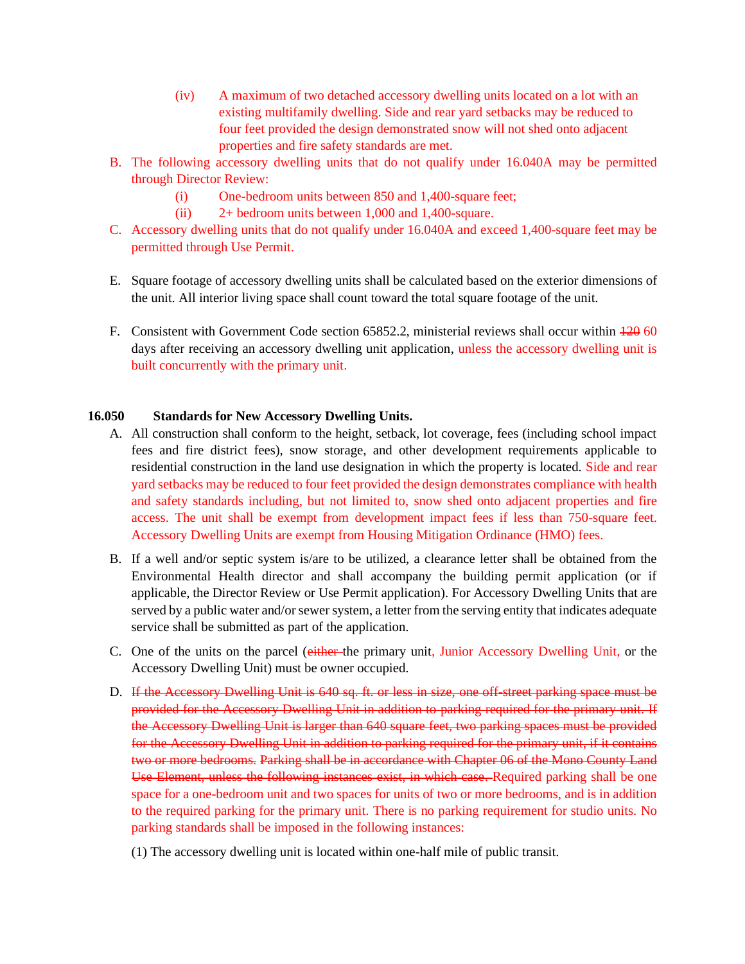- (iv) A maximum of two detached accessory dwelling units located on a lot with an existing multifamily dwelling. Side and rear yard setbacks may be reduced to four feet provided the design demonstrated snow will not shed onto adjacent properties and fire safety standards are met.
- B. The following accessory dwelling units that do not qualify under 16.040A may be permitted through Director Review:
	- (i) One-bedroom units between 850 and 1,400-square feet;
	- (ii) 2+ bedroom units between 1,000 and 1,400-square.
- C. Accessory dwelling units that do not qualify under 16.040A and exceed 1,400-square feet may be permitted through Use Permit.
- E. Square footage of accessory dwelling units shall be calculated based on the exterior dimensions of the unit. All interior living space shall count toward the total square footage of the unit.
- F. Consistent with Government Code section 65852.2, ministerial reviews shall occur within  $\frac{120}{120}$  60 days after receiving an accessory dwelling unit application, unless the accessory dwelling unit is built concurrently with the primary unit.

# **16.050 Standards for New Accessory Dwelling Units.**

- A. All construction shall conform to the height, setback, lot coverage, fees (including school impact fees and fire district fees), snow storage, and other development requirements applicable to residential construction in the land use designation in which the property is located. Side and rear yard setbacks may be reduced to four feet provided the design demonstrates compliance with health and safety standards including, but not limited to, snow shed onto adjacent properties and fire access. The unit shall be exempt from development impact fees if less than 750-square feet. Accessory Dwelling Units are exempt from Housing Mitigation Ordinance (HMO) fees.
- B. If a well and/or septic system is/are to be utilized, a clearance letter shall be obtained from the Environmental Health director and shall accompany the building permit application (or if applicable, the Director Review or Use Permit application). For Accessory Dwelling Units that are served by a public water and/or sewer system, a letter from the serving entity that indicates adequate service shall be submitted as part of the application.
- C. One of the units on the parcel (either the primary unit, Junior Accessory Dwelling Unit, or the Accessory Dwelling Unit) must be owner occupied.
- D. If the Accessory Dwelling Unit is 640 sq. ft. or less in size, one off-street parking space must be provided for the Accessory Dwelling Unit in addition to parking required for the primary unit. If the Accessory Dwelling Unit is larger than 640 square feet, two parking spaces must be provided for the Accessory Dwelling Unit in addition to parking required for the primary unit, if it contains two or more bedrooms. Parking shall be in accordance with Chapter 06 of the Mono County Land Use Element, unless the following instances exist, in which case. Required parking shall be one space for a one-bedroom unit and two spaces for units of two or more bedrooms, and is in addition to the required parking for the primary unit. There is no parking requirement for studio units. No parking standards shall be imposed in the following instances:
	- (1) The accessory dwelling unit is located within one-half mile of public transit.